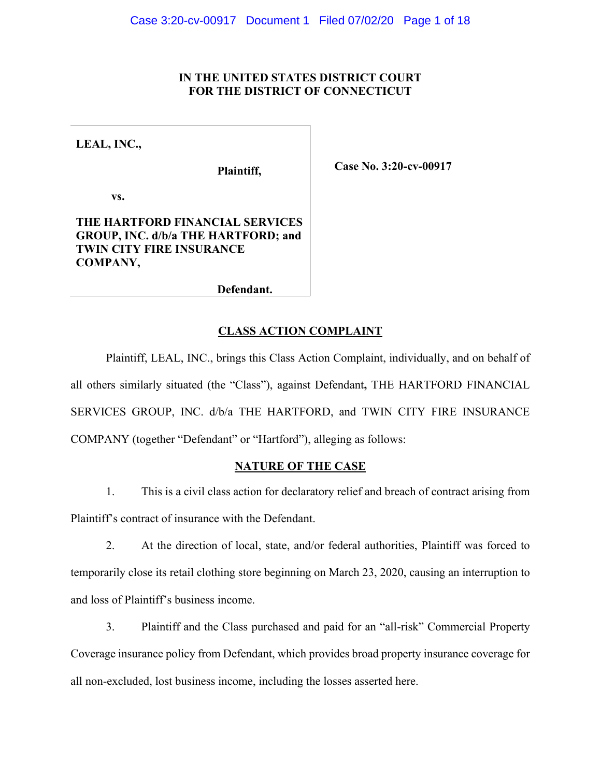# **IN THE UNITED STATES DISTRICT COURT FOR THE DISTRICT OF CONNECTICUT**

**LEAL, INC.,**

**Plaintiff,**

**Case No. 3:20-cv-00917**

**vs.**

# **THE HARTFORD FINANCIAL SERVICES GROUP, INC. d/b/a THE HARTFORD; and TWIN CITY FIRE INSURANCE COMPANY,**

**Defendant.**

# **CLASS ACTION COMPLAINT**

Plaintiff, LEAL, INC., brings this Class Action Complaint, individually, and on behalf of all others similarly situated (the "Class"), against Defendant**,** THE HARTFORD FINANCIAL SERVICES GROUP, INC. d/b/a THE HARTFORD, and TWIN CITY FIRE INSURANCE COMPANY (together "Defendant" or "Hartford"), alleging as follows:

# **NATURE OF THE CASE**

1. This is a civil class action for declaratory relief and breach of contract arising from Plaintiff's contract of insurance with the Defendant.

2. At the direction of local, state, and/or federal authorities, Plaintiff was forced to temporarily close its retail clothing store beginning on March 23, 2020, causing an interruption to and loss of Plaintiff's business income.

3. Plaintiff and the Class purchased and paid for an "all-risk" Commercial Property Coverage insurance policy from Defendant, which provides broad property insurance coverage for all non-excluded, lost business income, including the losses asserted here.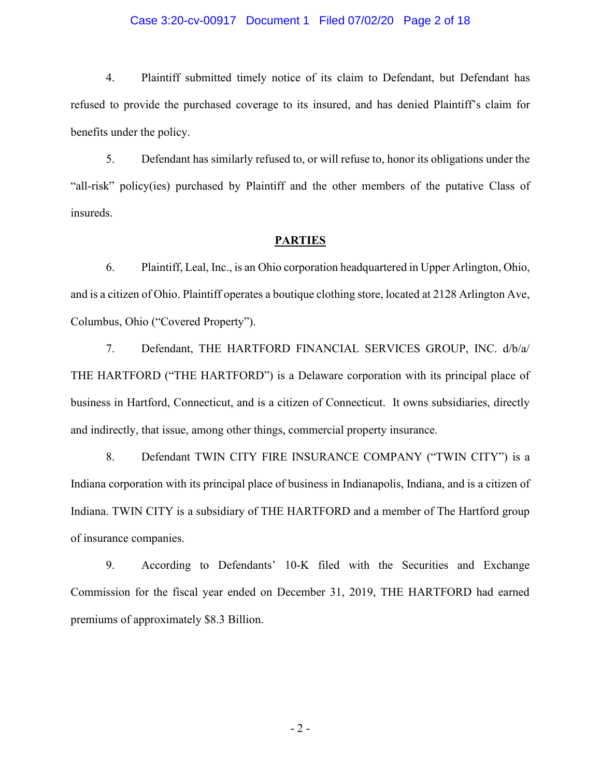## Case 3:20-cv-00917 Document 1 Filed 07/02/20 Page 2 of 18

4. Plaintiff submitted timely notice of its claim to Defendant, but Defendant has refused to provide the purchased coverage to its insured, and has denied Plaintiff's claim for benefits under the policy.

5. Defendant has similarly refused to, or will refuse to, honor its obligations under the "all-risk" policy(ies) purchased by Plaintiff and the other members of the putative Class of insureds.

## **PARTIES**

6. Plaintiff, Leal, Inc., is an Ohio corporation headquartered in Upper Arlington, Ohio, and is a citizen of Ohio. Plaintiff operates a boutique clothing store, located at 2128 Arlington Ave, Columbus, Ohio ("Covered Property").

7. Defendant, THE HARTFORD FINANCIAL SERVICES GROUP, INC. d/b/a/ THE HARTFORD ("THE HARTFORD") is a Delaware corporation with its principal place of business in Hartford, Connecticut, and is a citizen of Connecticut. It owns subsidiaries, directly and indirectly, that issue, among other things, commercial property insurance.

8. Defendant TWIN CITY FIRE INSURANCE COMPANY ("TWIN CITY") is a Indiana corporation with its principal place of business in Indianapolis, Indiana, and is a citizen of Indiana. TWIN CITY is a subsidiary of THE HARTFORD and a member of The Hartford group of insurance companies.

9. According to Defendants' 10-K filed with the Securities and Exchange Commission for the fiscal year ended on December 31, 2019, THE HARTFORD had earned premiums of approximately \$8.3 Billion.

- 2 -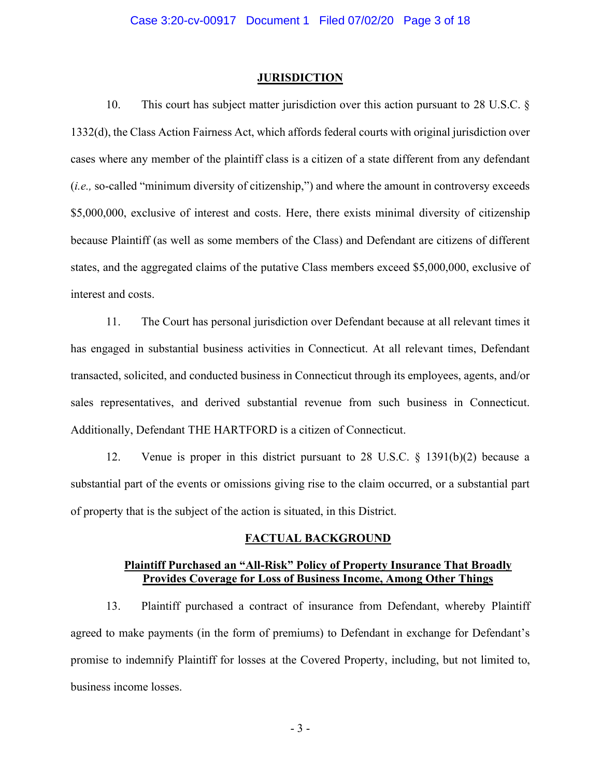#### **JURISDICTION**

10. This court has subject matter jurisdiction over this action pursuant to 28 U.S.C. § 1332(d), the Class Action Fairness Act, which affords federal courts with original jurisdiction over cases where any member of the plaintiff class is a citizen of a state different from any defendant (*i.e.,* so-called "minimum diversity of citizenship,") and where the amount in controversy exceeds \$5,000,000, exclusive of interest and costs. Here, there exists minimal diversity of citizenship because Plaintiff (as well as some members of the Class) and Defendant are citizens of different states, and the aggregated claims of the putative Class members exceed \$5,000,000, exclusive of interest and costs.

11. The Court has personal jurisdiction over Defendant because at all relevant times it has engaged in substantial business activities in Connecticut. At all relevant times, Defendant transacted, solicited, and conducted business in Connecticut through its employees, agents, and/or sales representatives, and derived substantial revenue from such business in Connecticut. Additionally, Defendant THE HARTFORD is a citizen of Connecticut.

12. Venue is proper in this district pursuant to 28 U.S.C. § 1391(b)(2) because a substantial part of the events or omissions giving rise to the claim occurred, or a substantial part of property that is the subject of the action is situated, in this District.

# **FACTUAL BACKGROUND**

# **Plaintiff Purchased an "All-Risk" Policy of Property Insurance That Broadly Provides Coverage for Loss of Business Income, Among Other Things**

13. Plaintiff purchased a contract of insurance from Defendant, whereby Plaintiff agreed to make payments (in the form of premiums) to Defendant in exchange for Defendant's promise to indemnify Plaintiff for losses at the Covered Property, including, but not limited to, business income losses.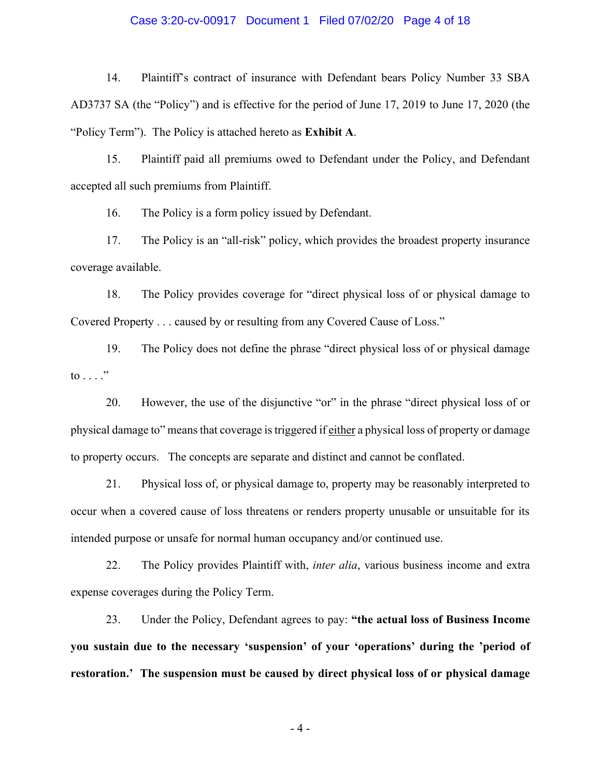## Case 3:20-cv-00917 Document 1 Filed 07/02/20 Page 4 of 18

14. Plaintiff's contract of insurance with Defendant bears Policy Number 33 SBA AD3737 SA (the "Policy") and is effective for the period of June 17, 2019 to June 17, 2020 (the "Policy Term"). The Policy is attached hereto as **Exhibit A**.

15. Plaintiff paid all premiums owed to Defendant under the Policy, and Defendant accepted all such premiums from Plaintiff.

16. The Policy is a form policy issued by Defendant.

17. The Policy is an "all-risk" policy, which provides the broadest property insurance coverage available.

18. The Policy provides coverage for "direct physical loss of or physical damage to Covered Property . . . caused by or resulting from any Covered Cause of Loss."

19. The Policy does not define the phrase "direct physical loss of or physical damage to  $\ldots$ ."

20. However, the use of the disjunctive "or" in the phrase "direct physical loss of or physical damage to" means that coverage is triggered if either a physical loss of property or damage to property occurs. The concepts are separate and distinct and cannot be conflated.

21. Physical loss of, or physical damage to, property may be reasonably interpreted to occur when a covered cause of loss threatens or renders property unusable or unsuitable for its intended purpose or unsafe for normal human occupancy and/or continued use.

22. The Policy provides Plaintiff with, *inter alia*, various business income and extra expense coverages during the Policy Term.

23. Under the Policy, Defendant agrees to pay: **"the actual loss of Business Income you sustain due to the necessary 'suspension' of your 'operations' during the 'period of restoration.' The suspension must be caused by direct physical loss of or physical damage** 

- 4 -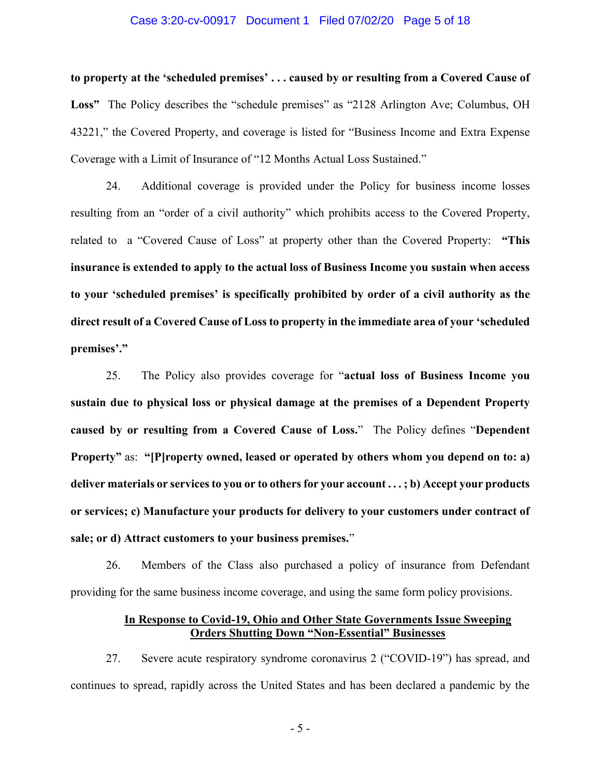## Case 3:20-cv-00917 Document 1 Filed 07/02/20 Page 5 of 18

**to property at the 'scheduled premises' . . . caused by or resulting from a Covered Cause of**  Loss<sup>\*</sup> The Policy describes the "schedule premises" as "2128 Arlington Ave; Columbus, OH 43221," the Covered Property, and coverage is listed for "Business Income and Extra Expense Coverage with a Limit of Insurance of "12 Months Actual Loss Sustained."

24. Additional coverage is provided under the Policy for business income losses resulting from an "order of a civil authority" which prohibits access to the Covered Property, related to a "Covered Cause of Loss" at property other than the Covered Property: **"This insurance is extended to apply to the actual loss of Business Income you sustain when access to your 'scheduled premises' is specifically prohibited by order of a civil authority as the direct result of a Covered Cause of Loss to property in the immediate area of your 'scheduled premises'."**

25. The Policy also provides coverage for "**actual loss of Business Income you sustain due to physical loss or physical damage at the premises of a Dependent Property caused by or resulting from a Covered Cause of Loss.**" The Policy defines "**Dependent Property"** as: **"[P]roperty owned, leased or operated by others whom you depend on to: a) deliver materials or services to you or to others for your account . . . ; b) Accept your products or services; c) Manufacture your products for delivery to your customers under contract of sale; or d) Attract customers to your business premises.**"

26. Members of the Class also purchased a policy of insurance from Defendant providing for the same business income coverage, and using the same form policy provisions.

# **In Response to Covid-19, Ohio and Other State Governments Issue Sweeping Orders Shutting Down "Non-Essential" Businesses**

27. Severe acute respiratory syndrome coronavirus 2 ("COVID-19") has spread, and continues to spread, rapidly across the United States and has been declared a pandemic by the

- 5 -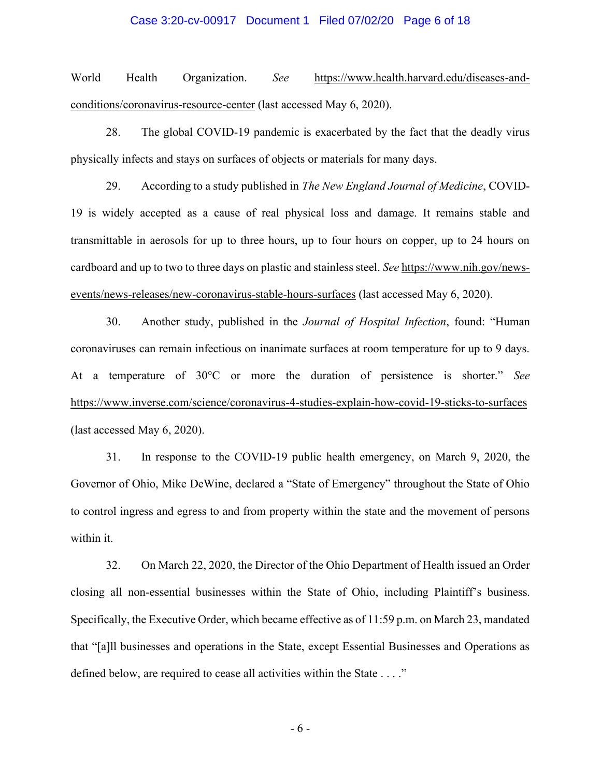## Case 3:20-cv-00917 Document 1 Filed 07/02/20 Page 6 of 18

World Health Organization. *See* https://www.health.harvard.edu/diseases-andconditions/coronavirus-resource-center (last accessed May 6, 2020).

28. The global COVID-19 pandemic is exacerbated by the fact that the deadly virus physically infects and stays on surfaces of objects or materials for many days.

29. According to a study published in *The New England Journal of Medicine*, COVID-19 is widely accepted as a cause of real physical loss and damage. It remains stable and transmittable in aerosols for up to three hours, up to four hours on copper, up to 24 hours on cardboard and up to two to three days on plastic and stainless steel. *See* https://www.nih.gov/newsevents/news-releases/new-coronavirus-stable-hours-surfaces (last accessed May 6, 2020).

30. Another study, published in the *Journal of Hospital Infection*, found: "Human coronaviruses can remain infectious on inanimate surfaces at room temperature for up to 9 days. At a temperature of 30°C or more the duration of persistence is shorter." *See*  https://www.inverse.com/science/coronavirus-4-studies-explain-how-covid-19-sticks-to-surfaces (last accessed May 6, 2020).

31. In response to the COVID-19 public health emergency, on March 9, 2020, the Governor of Ohio, Mike DeWine, declared a "State of Emergency" throughout the State of Ohio to control ingress and egress to and from property within the state and the movement of persons within it.

32. On March 22, 2020, the Director of the Ohio Department of Health issued an Order closing all non-essential businesses within the State of Ohio, including Plaintiff's business. Specifically, the Executive Order, which became effective as of 11:59 p.m. on March 23, mandated that "[a]ll businesses and operations in the State, except Essential Businesses and Operations as defined below, are required to cease all activities within the State . . . ."

- 6 -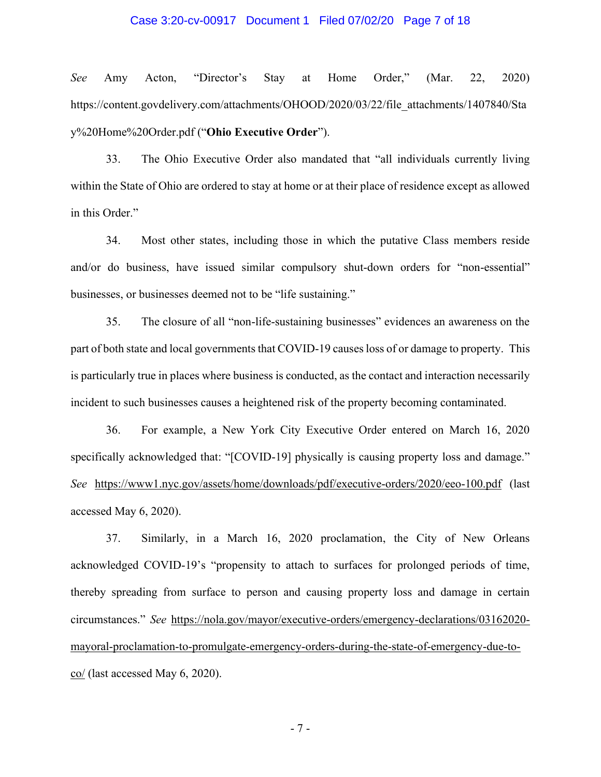## Case 3:20-cv-00917 Document 1 Filed 07/02/20 Page 7 of 18

*See* Amy Acton, "Director's Stay at Home Order," (Mar. 22, 2020) https://content.govdelivery.com/attachments/OHOOD/2020/03/22/file\_attachments/1407840/Sta y%20Home%20Order.pdf ("**Ohio Executive Order**").

33. The Ohio Executive Order also mandated that "all individuals currently living within the State of Ohio are ordered to stay at home or at their place of residence except as allowed in this Order."

34. Most other states, including those in which the putative Class members reside and/or do business, have issued similar compulsory shut-down orders for "non-essential" businesses, or businesses deemed not to be "life sustaining."

35. The closure of all "non-life-sustaining businesses" evidences an awareness on the part of both state and local governments that COVID-19 causes loss of or damage to property. This is particularly true in places where business is conducted, as the contact and interaction necessarily incident to such businesses causes a heightened risk of the property becoming contaminated.

36. For example, a New York City Executive Order entered on March 16, 2020 specifically acknowledged that: "[COVID-19] physically is causing property loss and damage." *See* https://www1.nyc.gov/assets/home/downloads/pdf/executive-orders/2020/eeo-100.pdf (last accessed May 6, 2020).

37. Similarly, in a March 16, 2020 proclamation, the City of New Orleans acknowledged COVID-19's "propensity to attach to surfaces for prolonged periods of time, thereby spreading from surface to person and causing property loss and damage in certain circumstances." *See* https://nola.gov/mayor/executive-orders/emergency-declarations/03162020 mayoral-proclamation-to-promulgate-emergency-orders-during-the-state-of-emergency-due-toco/ (last accessed May 6, 2020).

- 7 -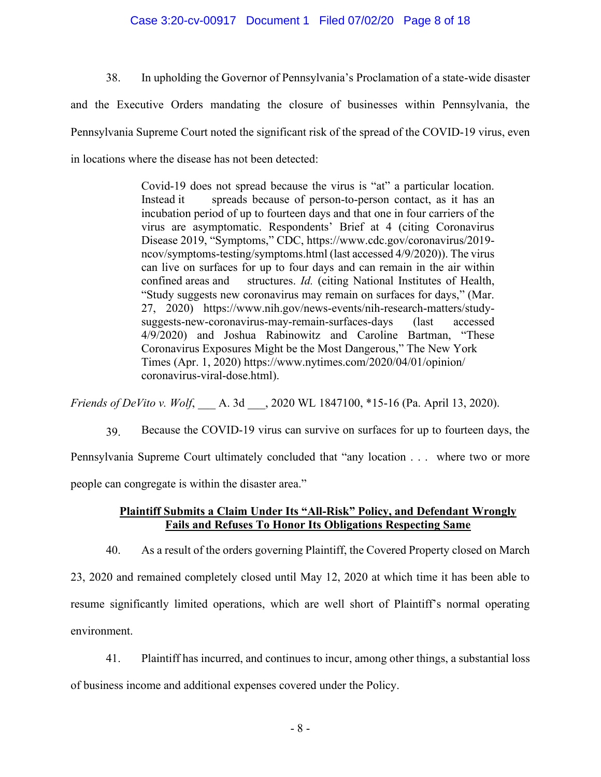## Case 3:20-cv-00917 Document 1 Filed 07/02/20 Page 8 of 18

38. In upholding the Governor of Pennsylvania's Proclamation of a state-wide disaster and the Executive Orders mandating the closure of businesses within Pennsylvania, the Pennsylvania Supreme Court noted the significant risk of the spread of the COVID-19 virus, even in locations where the disease has not been detected:

> Covid-19 does not spread because the virus is "at" a particular location. Instead it spreads because of person-to-person contact, as it has an incubation period of up to fourteen days and that one in four carriers of the virus are asymptomatic. Respondents' Brief at 4 (citing Coronavirus Disease 2019, "Symptoms," CDC, https://www.cdc.gov/coronavirus/2019 ncov/symptoms-testing/symptoms.html (last accessed 4/9/2020)). The virus can live on surfaces for up to four days and can remain in the air within confined areas and structures. *Id.* (citing National Institutes of Health, "Study suggests new coronavirus may remain on surfaces for days," (Mar. 27, 2020) https://www.nih.gov/news-events/nih-research-matters/studysuggests-new-coronavirus-may-remain-surfaces-days (last accessed 4/9/2020) and Joshua Rabinowitz and Caroline Bartman, "These Coronavirus Exposures Might be the Most Dangerous," The New York Times (Apr. 1, 2020) https://www.nytimes.com/2020/04/01/opinion/ coronavirus-viral-dose.html).

*Friends of DeVito v. Wolf*, **A. 3d** . 2020 WL 1847100, \*15-16 (Pa. April 13, 2020).

39. Because the COVID-19 virus can survive on surfaces for up to fourteen days, the

Pennsylvania Supreme Court ultimately concluded that "any location . . . where two or more

people can congregate is within the disaster area."

# **Plaintiff Submits a Claim Under Its "All-Risk" Policy, and Defendant Wrongly Fails and Refuses To Honor Its Obligations Respecting Same**

40. As a result of the orders governing Plaintiff, the Covered Property closed on March 23, 2020 and remained completely closed until May 12, 2020 at which time it has been able to resume significantly limited operations, which are well short of Plaintiff's normal operating environment.

41. Plaintiff has incurred, and continues to incur, among other things, a substantial loss of business income and additional expenses covered under the Policy.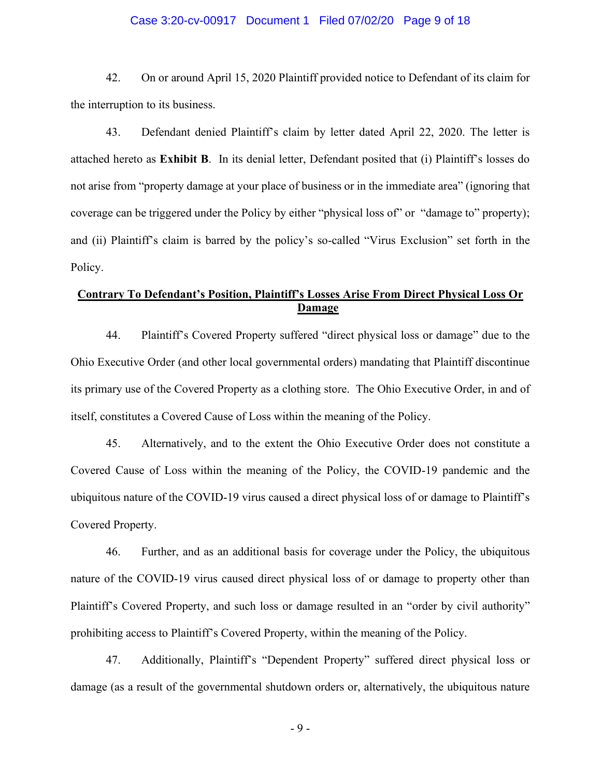## Case 3:20-cv-00917 Document 1 Filed 07/02/20 Page 9 of 18

42. On or around April 15, 2020 Plaintiff provided notice to Defendant of its claim for the interruption to its business.

43. Defendant denied Plaintiff's claim by letter dated April 22, 2020. The letter is attached hereto as **Exhibit B**. In its denial letter, Defendant posited that (i) Plaintiff's losses do not arise from "property damage at your place of business or in the immediate area" (ignoring that coverage can be triggered under the Policy by either "physical loss of" or "damage to" property); and (ii) Plaintiff's claim is barred by the policy's so-called "Virus Exclusion" set forth in the Policy.

# **Contrary To Defendant's Position, Plaintiff's Losses Arise From Direct Physical Loss Or Damage**

44. Plaintiff's Covered Property suffered "direct physical loss or damage" due to the Ohio Executive Order (and other local governmental orders) mandating that Plaintiff discontinue its primary use of the Covered Property as a clothing store. The Ohio Executive Order, in and of itself, constitutes a Covered Cause of Loss within the meaning of the Policy.

45. Alternatively, and to the extent the Ohio Executive Order does not constitute a Covered Cause of Loss within the meaning of the Policy, the COVID-19 pandemic and the ubiquitous nature of the COVID-19 virus caused a direct physical loss of or damage to Plaintiff's Covered Property.

46. Further, and as an additional basis for coverage under the Policy, the ubiquitous nature of the COVID-19 virus caused direct physical loss of or damage to property other than Plaintiff's Covered Property, and such loss or damage resulted in an "order by civil authority" prohibiting access to Plaintiff's Covered Property, within the meaning of the Policy.

47. Additionally, Plaintiff's "Dependent Property" suffered direct physical loss or damage (as a result of the governmental shutdown orders or, alternatively, the ubiquitous nature

- 9 -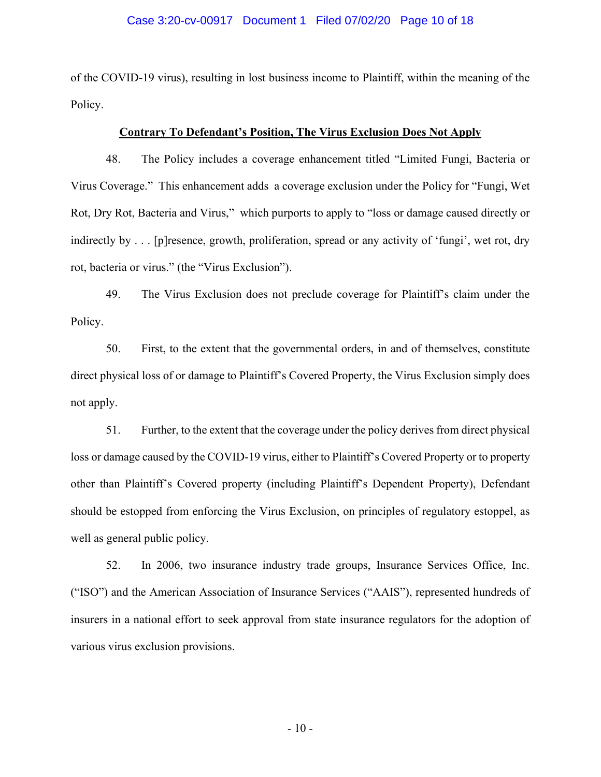## Case 3:20-cv-00917 Document 1 Filed 07/02/20 Page 10 of 18

of the COVID-19 virus), resulting in lost business income to Plaintiff, within the meaning of the Policy.

#### **Contrary To Defendant's Position, The Virus Exclusion Does Not Apply**

48. The Policy includes a coverage enhancement titled "Limited Fungi, Bacteria or Virus Coverage." This enhancement adds a coverage exclusion under the Policy for "Fungi, Wet Rot, Dry Rot, Bacteria and Virus," which purports to apply to "loss or damage caused directly or indirectly by . . . [p]resence, growth, proliferation, spread or any activity of 'fungi', wet rot, dry rot, bacteria or virus." (the "Virus Exclusion").

49. The Virus Exclusion does not preclude coverage for Plaintiff's claim under the Policy.

50. First, to the extent that the governmental orders, in and of themselves, constitute direct physical loss of or damage to Plaintiff's Covered Property, the Virus Exclusion simply does not apply.

51. Further, to the extent that the coverage under the policy derives from direct physical loss or damage caused by the COVID-19 virus, either to Plaintiff's Covered Property or to property other than Plaintiff's Covered property (including Plaintiff's Dependent Property), Defendant should be estopped from enforcing the Virus Exclusion, on principles of regulatory estoppel, as well as general public policy.

52. In 2006, two insurance industry trade groups, Insurance Services Office, Inc. ("ISO") and the American Association of Insurance Services ("AAIS"), represented hundreds of insurers in a national effort to seek approval from state insurance regulators for the adoption of various virus exclusion provisions.

- 10 -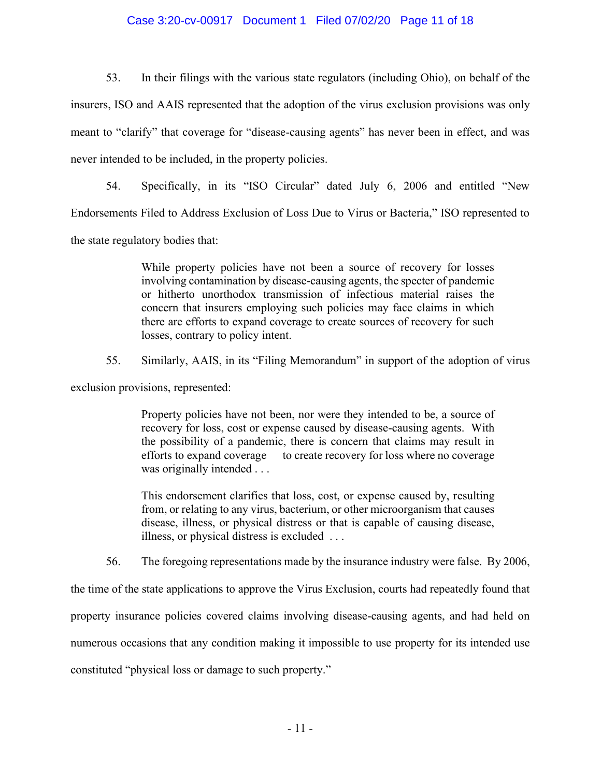# Case 3:20-cv-00917 Document 1 Filed 07/02/20 Page 11 of 18

53. In their filings with the various state regulators (including Ohio), on behalf of the insurers, ISO and AAIS represented that the adoption of the virus exclusion provisions was only meant to "clarify" that coverage for "disease-causing agents" has never been in effect, and was never intended to be included, in the property policies.

54. Specifically, in its "ISO Circular" dated July 6, 2006 and entitled "New Endorsements Filed to Address Exclusion of Loss Due to Virus or Bacteria," ISO represented to the state regulatory bodies that:

> While property policies have not been a source of recovery for losses involving contamination by disease-causing agents, the specter of pandemic or hitherto unorthodox transmission of infectious material raises the concern that insurers employing such policies may face claims in which there are efforts to expand coverage to create sources of recovery for such losses, contrary to policy intent.

55. Similarly, AAIS, in its "Filing Memorandum" in support of the adoption of virus

exclusion provisions, represented:

Property policies have not been, nor were they intended to be, a source of recovery for loss, cost or expense caused by disease-causing agents. With the possibility of a pandemic, there is concern that claims may result in efforts to expand coverage to create recovery for loss where no coverage was originally intended . . .

This endorsement clarifies that loss, cost, or expense caused by, resulting from, or relating to any virus, bacterium, or other microorganism that causes disease, illness, or physical distress or that is capable of causing disease, illness, or physical distress is excluded . . .

56. The foregoing representations made by the insurance industry were false. By 2006,

the time of the state applications to approve the Virus Exclusion, courts had repeatedly found that property insurance policies covered claims involving disease-causing agents, and had held on numerous occasions that any condition making it impossible to use property for its intended use constituted "physical loss or damage to such property."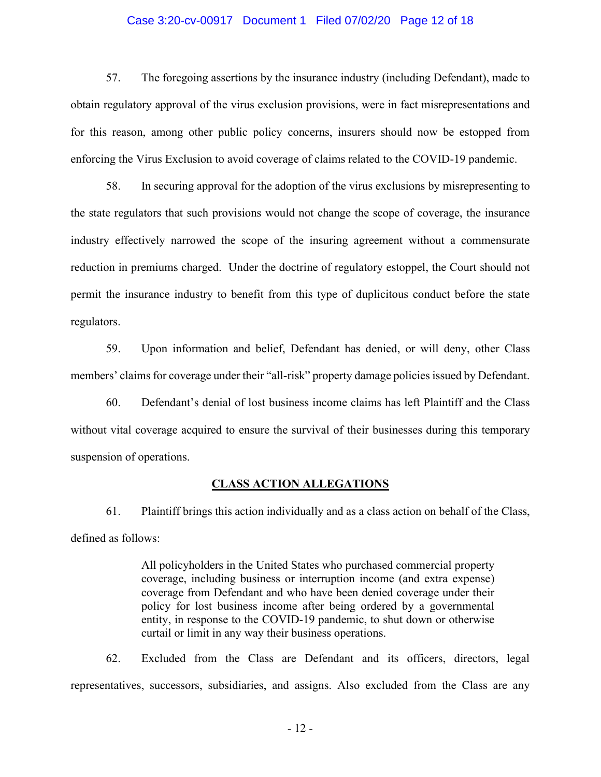## Case 3:20-cv-00917 Document 1 Filed 07/02/20 Page 12 of 18

57. The foregoing assertions by the insurance industry (including Defendant), made to obtain regulatory approval of the virus exclusion provisions, were in fact misrepresentations and for this reason, among other public policy concerns, insurers should now be estopped from enforcing the Virus Exclusion to avoid coverage of claims related to the COVID-19 pandemic.

58. In securing approval for the adoption of the virus exclusions by misrepresenting to the state regulators that such provisions would not change the scope of coverage, the insurance industry effectively narrowed the scope of the insuring agreement without a commensurate reduction in premiums charged. Under the doctrine of regulatory estoppel, the Court should not permit the insurance industry to benefit from this type of duplicitous conduct before the state regulators.

59. Upon information and belief, Defendant has denied, or will deny, other Class members' claims for coverage under their "all-risk" property damage policies issued by Defendant.

60. Defendant's denial of lost business income claims has left Plaintiff and the Class without vital coverage acquired to ensure the survival of their businesses during this temporary suspension of operations.

## **CLASS ACTION ALLEGATIONS**

61. Plaintiff brings this action individually and as a class action on behalf of the Class, defined as follows:

> All policyholders in the United States who purchased commercial property coverage, including business or interruption income (and extra expense) coverage from Defendant and who have been denied coverage under their policy for lost business income after being ordered by a governmental entity, in response to the COVID-19 pandemic, to shut down or otherwise curtail or limit in any way their business operations.

62. Excluded from the Class are Defendant and its officers, directors, legal representatives, successors, subsidiaries, and assigns. Also excluded from the Class are any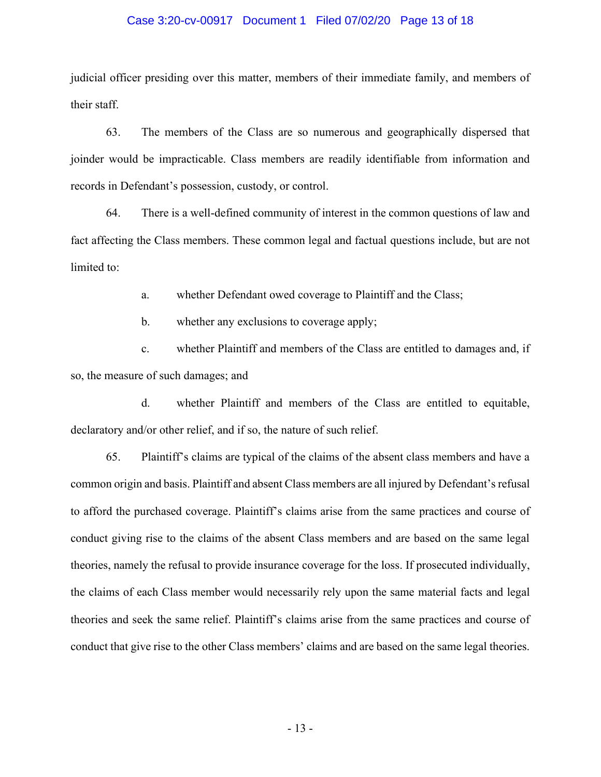## Case 3:20-cv-00917 Document 1 Filed 07/02/20 Page 13 of 18

judicial officer presiding over this matter, members of their immediate family, and members of their staff.

63. The members of the Class are so numerous and geographically dispersed that joinder would be impracticable. Class members are readily identifiable from information and records in Defendant's possession, custody, or control.

64. There is a well-defined community of interest in the common questions of law and fact affecting the Class members. These common legal and factual questions include, but are not limited to:

a. whether Defendant owed coverage to Plaintiff and the Class;

b. whether any exclusions to coverage apply;

c. whether Plaintiff and members of the Class are entitled to damages and, if so, the measure of such damages; and

d. whether Plaintiff and members of the Class are entitled to equitable, declaratory and/or other relief, and if so, the nature of such relief.

65. Plaintiff's claims are typical of the claims of the absent class members and have a common origin and basis. Plaintiff and absent Class members are all injured by Defendant's refusal to afford the purchased coverage. Plaintiff's claims arise from the same practices and course of conduct giving rise to the claims of the absent Class members and are based on the same legal theories, namely the refusal to provide insurance coverage for the loss. If prosecuted individually, the claims of each Class member would necessarily rely upon the same material facts and legal theories and seek the same relief. Plaintiff's claims arise from the same practices and course of conduct that give rise to the other Class members' claims and are based on the same legal theories.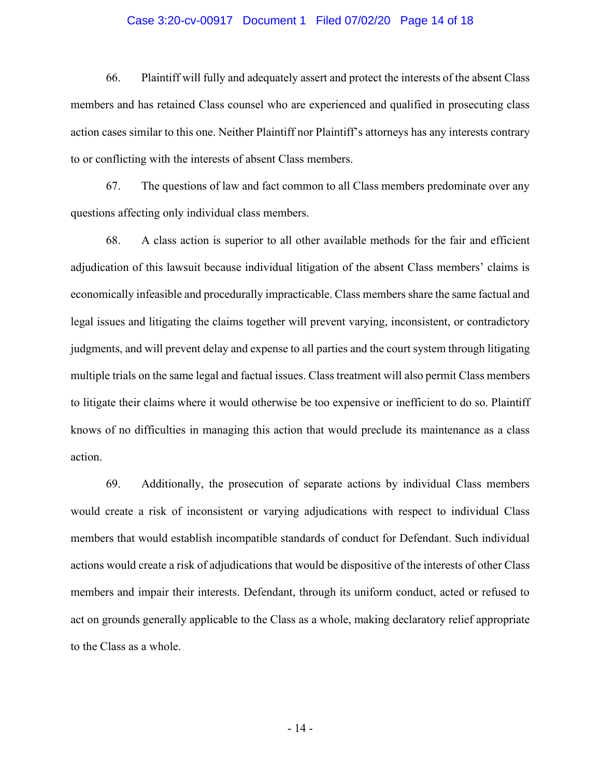### Case 3:20-cv-00917 Document 1 Filed 07/02/20 Page 14 of 18

66. Plaintiff will fully and adequately assert and protect the interests of the absent Class members and has retained Class counsel who are experienced and qualified in prosecuting class action cases similar to this one. Neither Plaintiff nor Plaintiff's attorneys has any interests contrary to or conflicting with the interests of absent Class members.

67. The questions of law and fact common to all Class members predominate over any questions affecting only individual class members.

68. A class action is superior to all other available methods for the fair and efficient adjudication of this lawsuit because individual litigation of the absent Class members' claims is economically infeasible and procedurally impracticable. Class members share the same factual and legal issues and litigating the claims together will prevent varying, inconsistent, or contradictory judgments, and will prevent delay and expense to all parties and the court system through litigating multiple trials on the same legal and factual issues. Class treatment will also permit Class members to litigate their claims where it would otherwise be too expensive or inefficient to do so. Plaintiff knows of no difficulties in managing this action that would preclude its maintenance as a class action.

69. Additionally, the prosecution of separate actions by individual Class members would create a risk of inconsistent or varying adjudications with respect to individual Class members that would establish incompatible standards of conduct for Defendant. Such individual actions would create a risk of adjudications that would be dispositive of the interests of other Class members and impair their interests. Defendant, through its uniform conduct, acted or refused to act on grounds generally applicable to the Class as a whole, making declaratory relief appropriate to the Class as a whole.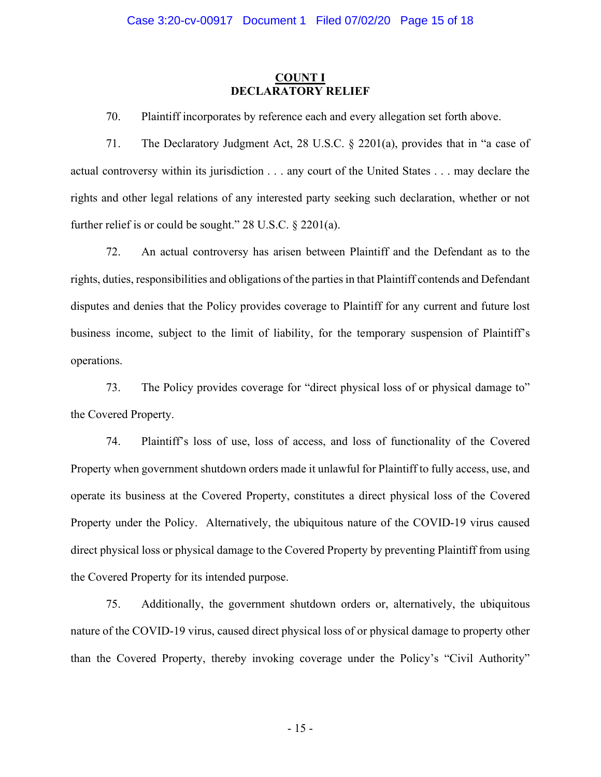## **COUNT I DECLARATORY RELIEF**

70. Plaintiff incorporates by reference each and every allegation set forth above.

71. The Declaratory Judgment Act, 28 U.S.C. § 2201(a), provides that in "a case of actual controversy within its jurisdiction . . . any court of the United States . . . may declare the rights and other legal relations of any interested party seeking such declaration, whether or not further relief is or could be sought." 28 U.S.C. § 2201(a).

72. An actual controversy has arisen between Plaintiff and the Defendant as to the rights, duties, responsibilities and obligations of the parties in that Plaintiff contends and Defendant disputes and denies that the Policy provides coverage to Plaintiff for any current and future lost business income, subject to the limit of liability, for the temporary suspension of Plaintiff's operations.

73. The Policy provides coverage for "direct physical loss of or physical damage to" the Covered Property.

74. Plaintiff's loss of use, loss of access, and loss of functionality of the Covered Property when government shutdown orders made it unlawful for Plaintiff to fully access, use, and operate its business at the Covered Property, constitutes a direct physical loss of the Covered Property under the Policy. Alternatively, the ubiquitous nature of the COVID-19 virus caused direct physical loss or physical damage to the Covered Property by preventing Plaintiff from using the Covered Property for its intended purpose.

75. Additionally, the government shutdown orders or, alternatively, the ubiquitous nature of the COVID-19 virus, caused direct physical loss of or physical damage to property other than the Covered Property, thereby invoking coverage under the Policy's "Civil Authority"

- 15 -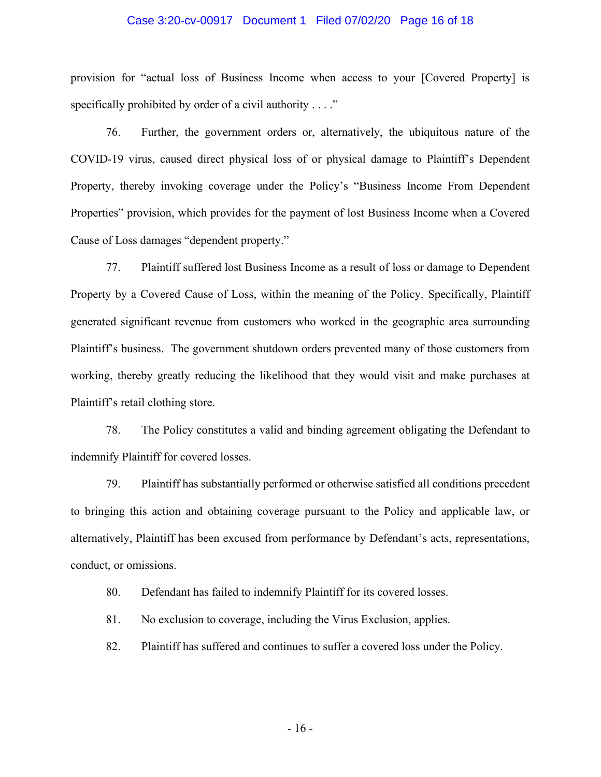## Case 3:20-cv-00917 Document 1 Filed 07/02/20 Page 16 of 18

provision for "actual loss of Business Income when access to your [Covered Property] is specifically prohibited by order of a civil authority . . . ."

76. Further, the government orders or, alternatively, the ubiquitous nature of the COVID-19 virus, caused direct physical loss of or physical damage to Plaintiff's Dependent Property, thereby invoking coverage under the Policy's "Business Income From Dependent Properties" provision, which provides for the payment of lost Business Income when a Covered Cause of Loss damages "dependent property."

77. Plaintiff suffered lost Business Income as a result of loss or damage to Dependent Property by a Covered Cause of Loss, within the meaning of the Policy. Specifically, Plaintiff generated significant revenue from customers who worked in the geographic area surrounding Plaintiff's business. The government shutdown orders prevented many of those customers from working, thereby greatly reducing the likelihood that they would visit and make purchases at Plaintiff's retail clothing store.

78. The Policy constitutes a valid and binding agreement obligating the Defendant to indemnify Plaintiff for covered losses.

79. Plaintiff has substantially performed or otherwise satisfied all conditions precedent to bringing this action and obtaining coverage pursuant to the Policy and applicable law, or alternatively, Plaintiff has been excused from performance by Defendant's acts, representations, conduct, or omissions.

80. Defendant has failed to indemnify Plaintiff for its covered losses.

81. No exclusion to coverage, including the Virus Exclusion, applies.

82. Plaintiff has suffered and continues to suffer a covered loss under the Policy.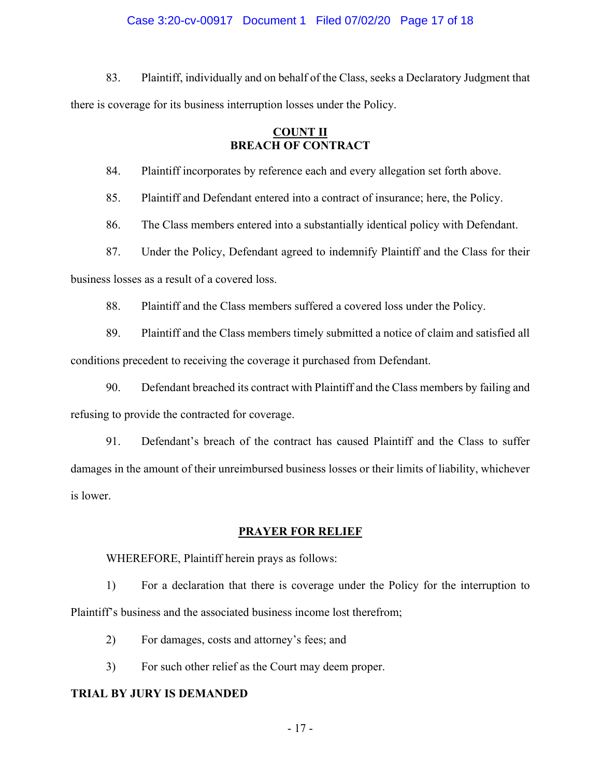## Case 3:20-cv-00917 Document 1 Filed 07/02/20 Page 17 of 18

83. Plaintiff, individually and on behalf of the Class, seeks a Declaratory Judgment that there is coverage for its business interruption losses under the Policy.

# **COUNT II BREACH OF CONTRACT**

84. Plaintiff incorporates by reference each and every allegation set forth above.

85. Plaintiff and Defendant entered into a contract of insurance; here, the Policy.

86. The Class members entered into a substantially identical policy with Defendant.

87. Under the Policy, Defendant agreed to indemnify Plaintiff and the Class for their

business losses as a result of a covered loss.

88. Plaintiff and the Class members suffered a covered loss under the Policy.

89. Plaintiff and the Class members timely submitted a notice of claim and satisfied all conditions precedent to receiving the coverage it purchased from Defendant.

90. Defendant breached its contract with Plaintiff and the Class members by failing and refusing to provide the contracted for coverage.

91. Defendant's breach of the contract has caused Plaintiff and the Class to suffer damages in the amount of their unreimbursed business losses or their limits of liability, whichever is lower.

## **PRAYER FOR RELIEF**

WHEREFORE, Plaintiff herein prays as follows:

1) For a declaration that there is coverage under the Policy for the interruption to Plaintiff's business and the associated business income lost therefrom;

2) For damages, costs and attorney's fees; and

3) For such other relief as the Court may deem proper.

# **TRIAL BY JURY IS DEMANDED**